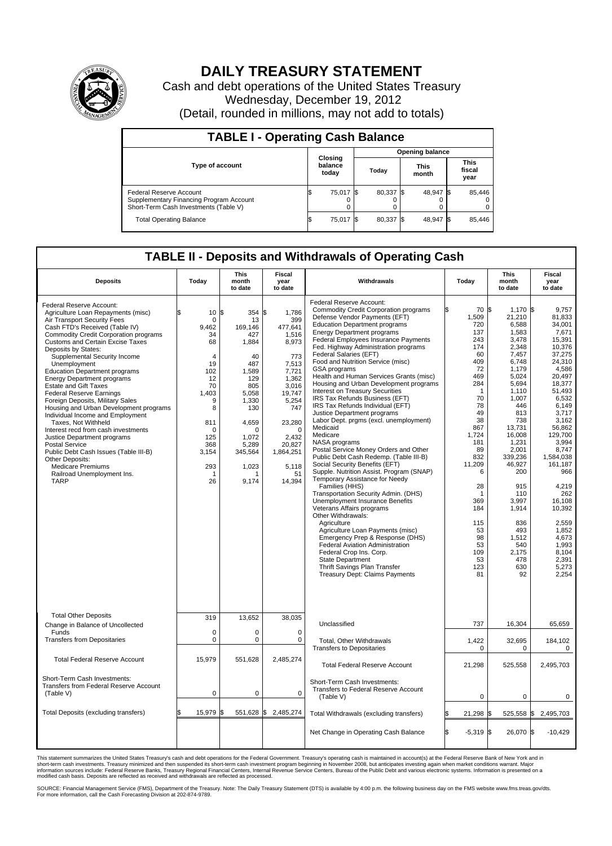

## **DAILY TREASURY STATEMENT**

Cash and debt operations of the United States Treasury Wednesday, December 19, 2012 (Detail, rounded in millions, may not add to totals)

| <b>TABLE I - Operating Cash Balance</b>                                                                     |                             |           |                        |        |           |                      |  |                               |  |  |
|-------------------------------------------------------------------------------------------------------------|-----------------------------|-----------|------------------------|--------|-----------|----------------------|--|-------------------------------|--|--|
|                                                                                                             | Closing<br>balance<br>today |           | <b>Opening balance</b> |        |           |                      |  |                               |  |  |
| <b>Type of account</b>                                                                                      |                             |           |                        | Today  |           | <b>This</b><br>month |  | <b>This</b><br>fiscal<br>year |  |  |
| Federal Reserve Account<br>Supplementary Financing Program Account<br>Short-Term Cash Investments (Table V) | IΦ                          | 75,017 \$ |                        | 80,337 | <b>IS</b> | 48,947 \$<br>0       |  | 85,446<br>$\Omega$<br>0       |  |  |
| <b>Total Operating Balance</b>                                                                              |                             | 75,017    |                        | 80,337 |           | 48,947 \$            |  | 85,446                        |  |  |

## **TABLE II - Deposits and Withdrawals of Operating Cash**

| <b>Deposits</b>                                                                                                                                                                                                                                                                                                                                                                                                                                                                                                                                                                                                                                                                                                                                                                                                                | Today                                                                                                                                                                               | <b>This</b><br>month<br>to date                                                                                                                                | <b>Fiscal</b><br>year<br>to date                                                                                                                                                                       | Withdrawals                                                                                                                                                                                                                                                                                                                                                                                                                                                                                                                                                                                                                                                                                                                                                                                                                                                                                                                                                                                                                                                                                                                                                                                                                                                        | Today                                                                                                                                                                                                                                                       | <b>This</b><br>month<br>to date                                                                                                                                                                                                                                                                           | <b>Fiscal</b><br>year<br>to date                                                                                                                                                                                                                                                                                                        |  |  |  |
|--------------------------------------------------------------------------------------------------------------------------------------------------------------------------------------------------------------------------------------------------------------------------------------------------------------------------------------------------------------------------------------------------------------------------------------------------------------------------------------------------------------------------------------------------------------------------------------------------------------------------------------------------------------------------------------------------------------------------------------------------------------------------------------------------------------------------------|-------------------------------------------------------------------------------------------------------------------------------------------------------------------------------------|----------------------------------------------------------------------------------------------------------------------------------------------------------------|--------------------------------------------------------------------------------------------------------------------------------------------------------------------------------------------------------|--------------------------------------------------------------------------------------------------------------------------------------------------------------------------------------------------------------------------------------------------------------------------------------------------------------------------------------------------------------------------------------------------------------------------------------------------------------------------------------------------------------------------------------------------------------------------------------------------------------------------------------------------------------------------------------------------------------------------------------------------------------------------------------------------------------------------------------------------------------------------------------------------------------------------------------------------------------------------------------------------------------------------------------------------------------------------------------------------------------------------------------------------------------------------------------------------------------------------------------------------------------------|-------------------------------------------------------------------------------------------------------------------------------------------------------------------------------------------------------------------------------------------------------------|-----------------------------------------------------------------------------------------------------------------------------------------------------------------------------------------------------------------------------------------------------------------------------------------------------------|-----------------------------------------------------------------------------------------------------------------------------------------------------------------------------------------------------------------------------------------------------------------------------------------------------------------------------------------|--|--|--|
| Federal Reserve Account:<br>Agriculture Loan Repayments (misc)<br>Air Transport Security Fees<br>Cash FTD's Received (Table IV)<br><b>Commodity Credit Corporation programs</b><br><b>Customs and Certain Excise Taxes</b><br>Deposits by States:<br>Supplemental Security Income<br>Unemployment<br><b>Education Department programs</b><br><b>Energy Department programs</b><br><b>Estate and Gift Taxes</b><br><b>Federal Reserve Earnings</b><br>Foreign Deposits, Military Sales<br>Housing and Urban Development programs<br>Individual Income and Employment<br>Taxes. Not Withheld<br>Interest recd from cash investments<br>Justice Department programs<br><b>Postal Service</b><br>Public Debt Cash Issues (Table III-B)<br>Other Deposits:<br><b>Medicare Premiums</b><br>Railroad Unemployment Ins.<br><b>TARP</b> | $10 \text{ }  $ \$<br>$\mathbf 0$<br>9,462<br>34<br>68<br>$\overline{4}$<br>19<br>102<br>12<br>70<br>1.403<br>9<br>8<br>811<br>$\mathbf 0$<br>125<br>368<br>3,154<br>293<br>1<br>26 | 354<br>13<br>169,146<br>427<br>1,884<br>40<br>487<br>1,589<br>129<br>805<br>5,058<br>1,330<br>130<br>4,659<br>0<br>1,072<br>5,289<br>345,564<br>1,023<br>9,174 | \$<br>1.786<br>399<br>477,641<br>1,516<br>8,973<br>773<br>7,513<br>7,721<br>1,362<br>3,016<br>19.747<br>5,254<br>747<br>23,280<br>$\mathbf 0$<br>2,432<br>20.827<br>1,864,251<br>5,118<br>51<br>14,394 | Federal Reserve Account:<br><b>Commodity Credit Corporation programs</b><br>Defense Vendor Payments (EFT)<br><b>Education Department programs</b><br>Energy Department programs<br>Federal Employees Insurance Payments<br>Fed. Highway Administration programs<br>Federal Salaries (EFT)<br>Food and Nutrition Service (misc)<br>GSA programs<br>Health and Human Services Grants (misc)<br>Housing and Urban Development programs<br>Interest on Treasury Securities<br>IRS Tax Refunds Business (EFT)<br>IRS Tax Refunds Individual (EFT)<br>Justice Department programs<br>Labor Dept. prgms (excl. unemployment)<br>Medicaid<br>Medicare<br>NASA programs<br>Postal Service Money Orders and Other<br>Public Debt Cash Redemp. (Table III-B)<br>Social Security Benefits (EFT)<br>Supple. Nutrition Assist. Program (SNAP)<br>Temporary Assistance for Needy<br>Families (HHS)<br>Transportation Security Admin. (DHS)<br>Unemployment Insurance Benefits<br>Veterans Affairs programs<br>Other Withdrawals:<br>Agriculture<br>Agriculture Loan Payments (misc)<br>Emergency Prep & Response (DHS)<br>Federal Aviation Administration<br>Federal Crop Ins. Corp.<br>State Department<br>Thrift Savings Plan Transfer<br><b>Treasury Dept: Claims Payments</b> | 70 \$<br>\$<br>1,509<br>720<br>137<br>243<br>174<br>60<br>409<br>72<br>469<br>284<br>$\overline{1}$<br>70<br>78<br>49<br>38<br>867<br>1,724<br>181<br>89<br>832<br>11,209<br>6<br>28<br>-1<br>369<br>184<br>115<br>53<br>98<br>53<br>109<br>53<br>123<br>81 | $1,170$ \$<br>21,210<br>6,588<br>1,583<br>3,478<br>2,348<br>7,457<br>6,748<br>1,179<br>5,024<br>5.694<br>1,110<br>1,007<br>446<br>813<br>738<br>13,731<br>16,008<br>1,231<br>2,001<br>339,236<br>46,927<br>200<br>915<br>110<br>3.997<br>1,914<br>836<br>493<br>1,512<br>540<br>2,175<br>478<br>630<br>92 | 9,757<br>81,833<br>34,001<br>7.671<br>15,391<br>10.376<br>37,275<br>24,310<br>4,586<br>20,497<br>18.377<br>51,493<br>6,532<br>6.149<br>3,717<br>3,162<br>56,862<br>129,700<br>3,994<br>8,747<br>1,584,038<br>161,187<br>966<br>4,219<br>262<br>16.108<br>10,392<br>2,559<br>1,852<br>4,673<br>1.993<br>8,104<br>2.391<br>5,273<br>2,254 |  |  |  |
| <b>Total Other Deposits</b><br>Change in Balance of Uncollected                                                                                                                                                                                                                                                                                                                                                                                                                                                                                                                                                                                                                                                                                                                                                                | 319                                                                                                                                                                                 | 13,652                                                                                                                                                         | 38,035                                                                                                                                                                                                 | Unclassified                                                                                                                                                                                                                                                                                                                                                                                                                                                                                                                                                                                                                                                                                                                                                                                                                                                                                                                                                                                                                                                                                                                                                                                                                                                       | 737                                                                                                                                                                                                                                                         | 16,304                                                                                                                                                                                                                                                                                                    | 65,659                                                                                                                                                                                                                                                                                                                                  |  |  |  |
| Funds<br><b>Transfers from Depositaries</b>                                                                                                                                                                                                                                                                                                                                                                                                                                                                                                                                                                                                                                                                                                                                                                                    | $\mathbf 0$<br>$\mathbf 0$                                                                                                                                                          | $\mathbf 0$<br>0                                                                                                                                               | $\mathbf 0$<br>$\mathsf 0$                                                                                                                                                                             | Total, Other Withdrawals<br><b>Transfers to Depositaries</b>                                                                                                                                                                                                                                                                                                                                                                                                                                                                                                                                                                                                                                                                                                                                                                                                                                                                                                                                                                                                                                                                                                                                                                                                       | 1,422<br>$\mathbf 0$                                                                                                                                                                                                                                        | 32,695<br>$\mathbf 0$                                                                                                                                                                                                                                                                                     | 184,102<br>0                                                                                                                                                                                                                                                                                                                            |  |  |  |
| <b>Total Federal Reserve Account</b>                                                                                                                                                                                                                                                                                                                                                                                                                                                                                                                                                                                                                                                                                                                                                                                           | 15,979                                                                                                                                                                              | 551,628                                                                                                                                                        | 2,485,274                                                                                                                                                                                              | <b>Total Federal Reserve Account</b>                                                                                                                                                                                                                                                                                                                                                                                                                                                                                                                                                                                                                                                                                                                                                                                                                                                                                                                                                                                                                                                                                                                                                                                                                               | 21,298                                                                                                                                                                                                                                                      | 525,558                                                                                                                                                                                                                                                                                                   | 2,495,703                                                                                                                                                                                                                                                                                                                               |  |  |  |
| Short-Term Cash Investments:<br>Transfers from Federal Reserve Account<br>(Table V)                                                                                                                                                                                                                                                                                                                                                                                                                                                                                                                                                                                                                                                                                                                                            | $\mathbf 0$                                                                                                                                                                         | $\pmb{0}$                                                                                                                                                      | $\pmb{0}$                                                                                                                                                                                              | Short-Term Cash Investments:<br>Transfers to Federal Reserve Account<br>(Table V)                                                                                                                                                                                                                                                                                                                                                                                                                                                                                                                                                                                                                                                                                                                                                                                                                                                                                                                                                                                                                                                                                                                                                                                  | $\Omega$                                                                                                                                                                                                                                                    | $\Omega$                                                                                                                                                                                                                                                                                                  | 0                                                                                                                                                                                                                                                                                                                                       |  |  |  |
| Total Deposits (excluding transfers)                                                                                                                                                                                                                                                                                                                                                                                                                                                                                                                                                                                                                                                                                                                                                                                           | 15,979                                                                                                                                                                              | 551,628                                                                                                                                                        | \$<br>2,485,274                                                                                                                                                                                        | Total Withdrawals (excluding transfers)                                                                                                                                                                                                                                                                                                                                                                                                                                                                                                                                                                                                                                                                                                                                                                                                                                                                                                                                                                                                                                                                                                                                                                                                                            | 21,298 \$<br>ß.                                                                                                                                                                                                                                             |                                                                                                                                                                                                                                                                                                           | 525,558 \$2,495,703                                                                                                                                                                                                                                                                                                                     |  |  |  |
|                                                                                                                                                                                                                                                                                                                                                                                                                                                                                                                                                                                                                                                                                                                                                                                                                                |                                                                                                                                                                                     |                                                                                                                                                                |                                                                                                                                                                                                        | Net Change in Operating Cash Balance                                                                                                                                                                                                                                                                                                                                                                                                                                                                                                                                                                                                                                                                                                                                                                                                                                                                                                                                                                                                                                                                                                                                                                                                                               | ß.<br>$-5,319$ \$                                                                                                                                                                                                                                           | 26,070 \$                                                                                                                                                                                                                                                                                                 | $-10,429$                                                                                                                                                                                                                                                                                                                               |  |  |  |

This statement summarizes the United States Treasury's cash and debt operations for the Federal Government. Treasury's operating cash is maintained in account(s) at the Federal Reserve Bank of New York and in<br>short-term ca

SOURCE: Financial Management Service (FMS), Department of the Treasury. Note: The Daily Treasury Statement (DTS) is available by 4:00 p.m. the following business day on the FMS website www.fms.treas.gov/dts.<br>For more infor